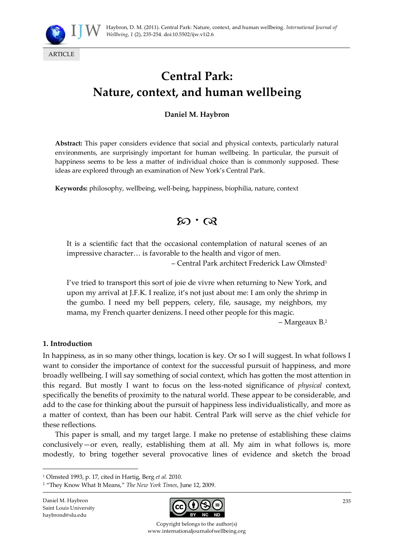

# **Central Park: Nature, context, and human wellbeing**

# **Daniel M. Haybron**

**Abstract:** This paper considers evidence that social and physical contexts, particularly natural environments, are surprisingly important for human wellbeing. In particular, the pursuit of happiness seems to be less a matter of individual choice than is commonly supposed. These ideas are explored through an examination of New York's Central Park.

**Keywords:** philosophy, wellbeing, well-being, happiness, biophilia, nature, context

# $\infty \cdot \infty$

It is a scientific fact that the occasional contemplation of natural scenes of an impressive character... is favorable to the health and vigor of men.

– Central Park architect Frederick Law Olmsted<sup>1</sup>

I've tried to transport this sort of joie de vivre when returning to New York, and upon my arrival at J.F.K. I realize, it's not just about me: I am only the shrimp in the gumbo. I need my bell peppers, celery, file, sausage, my neighbors, my mama, my French quarter denizens. I need other people for this magic.

– Margeaux B.<sup>2</sup>

#### **1. Introduction**

In happiness, as in so many other things, location is key. Or so I will suggest. In what follows I want to consider the importance of context for the successful pursuit of happiness, and more broadly wellbeing. I will say something of social context, which has gotten the most attention in this regard. But mostly I want to focus on the less-noted significance of *physical* context, specifically the benefits of proximity to the natural world. These appear to be considerable, and add to the case for thinking about the pursuit of happiness less individualistically, and more as a matter of context, than has been our habit. Central Park will serve as the chief vehicle for these reflections.

This paper is small, and my target large. I make no pretense of establishing these claims conclusively—or even, really, establishing them at all. My aim in what follows is, more modestly, to bring together several provocative lines of evidence and sketch the broad

Daniel M. Haybron Saint Louis University haybrond@slu.edu

<u>.</u>



Copyright belongs to the author(s) www.internationaljournalofwellbeing.org

<sup>1</sup> Olmsted 1993, p. 17, cited in Hartig, Berg *et al.* 2010.

<sup>2</sup> 'They Know What It Means,' *The New York Times*, June 12, 2009.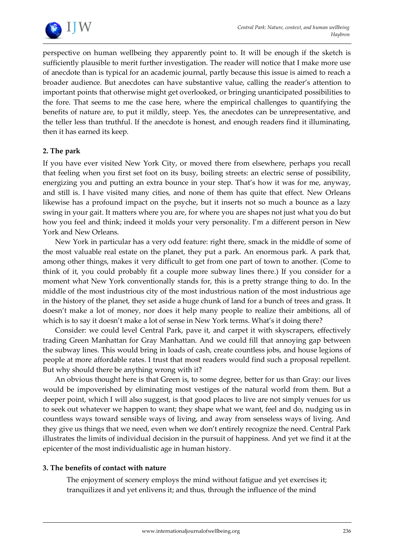

perspective on human wellbeing they apparently point to. It will be enough if the sketch is sufficiently plausible to merit further investigation. The reader will notice that I make more use of anecdote than is typical for an academic journal, partly because this issue is aimed to reach a broader audience. But anecdotes can have substantive value, calling the reader's attention to important points that otherwise might get overlooked, or bringing unanticipated possibilities to the fore. That seems to me the case here, where the empirical challenges to quantifying the benefits of nature are, to put it mildly, steep. Yes, the anecdotes can be unrepresentative, and the teller less than truthful. If the anecdote is honest, and enough readers find it illuminating, then it has earned its keep.

# **2. The park**

If you have ever visited New York City, or moved there from elsewhere, perhaps you recall that feeling when you first set foot on its busy, boiling streets: an electric sense of possibility, energizing you and putting an extra bounce in your step. That's how it was for me, anyway, and still is. I have visited many cities, and none of them has quite that effect. New Orleans likewise has a profound impact on the psyche, but it inserts not so much a bounce as a lazy swing in your gait. It matters where you are, for where you are shapes not just what you do but how you feel and think; indeed it molds your very personality. I'm a different person in New York and New Orleans.

New York in particular has a very odd feature: right there, smack in the middle of some of the most valuable real estate on the planet, they put a park. An enormous park. A park that, among other things, makes it very difficult to get from one part of town to another. (Come to think of it, you could probably fit a couple more subway lines there.) If you consider for a moment what New York conventionally stands for, this is a pretty strange thing to do. In the middle of the most industrious city of the most industrious nation of the most industrious age in the history of the planet, they set aside a huge chunk of land for a bunch of trees and grass. It doesn't make a lot of money, nor does it help many people to realize their ambitions, all of which is to say it doesn't make a lot of sense in New York terms. What's it doing there?

Consider: we could level Central Park, pave it, and carpet it with skyscrapers, effectively trading Green Manhattan for Gray Manhattan. And we could fill that annoying gap between the subway lines. This would bring in loads of cash, create countless jobs, and house legions of people at more affordable rates. I trust that most readers would find such a proposal repellent. But why should there be anything wrong with it?

An obvious thought here is that Green is, to some degree, better for us than Gray: our lives would be impoverished by eliminating most vestiges of the natural world from them. But a deeper point, which I will also suggest, is that good places to live are not simply venues for us to seek out whatever we happen to want; they shape what we want, feel and do, nudging us in countless ways toward sensible ways of living, and away from senseless ways of living. And they give us things that we need, even when we don't entirely recognize the need. Central Park illustrates the limits of individual decision in the pursuit of happiness. And yet we find it at the epicenter of the most individualistic age in human history.

# **3. The benefits of contact with nature**

The enjoyment of scenery employs the mind without fatigue and yet exercises it; tranquilizes it and yet enlivens it; and thus, through the influence of the mind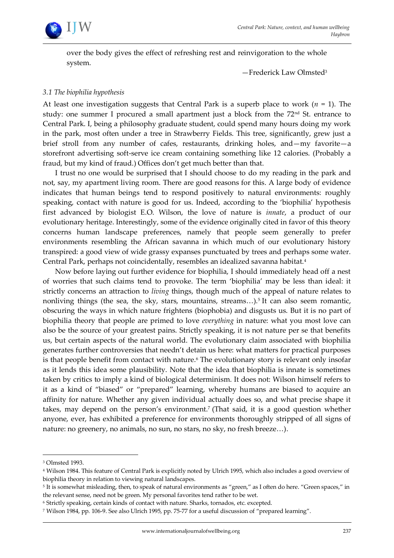

over the body gives the effect of refreshing rest and reinvigoration to the whole system.

—Frederick Law Olmsted<sup>3</sup>

#### *3.1 The biophilia hypothesis*

At least one investigation suggests that Central Park is a superb place to work (*n* = 1). The study: one summer I procured a small apartment just a block from the  $72<sup>nd</sup>$  St. entrance to Central Park. I, being a philosophy graduate student, could spend many hours doing my work in the park, most often under a tree in Strawberry Fields. This tree, significantly, grew just a brief stroll from any number of cafes, restaurants, drinking holes, and—my favorite—a storefront advertising soft-serve ice cream containing something like 12 calories. (Probably a fraud, but my kind of fraud.) Offices don't get much better than that.

I trust no one would be surprised that I should choose to do my reading in the park and not, say, my apartment living room. There are good reasons for this. A large body of evidence indicates that human beings tend to respond positively to natural environments: roughly speaking, contact with nature is good for us. Indeed, according to the 'biophilia' hypothesis first advanced by biologist E.O. Wilson, the love of nature is *innate*, a product of our evolutionary heritage. Interestingly, some of the evidence originally cited in favor of this theory concerns human landscape preferences, namely that people seem generally to prefer environments resembling the African savanna in which much of our evolutionary history transpired: a good view of wide grassy expanses punctuated by trees and perhaps some water. Central Park, perhaps not coincidentally, resembles an idealized savanna habitat.<sup>4</sup>

Now before laying out further evidence for biophilia, I should immediately head off a nest of worries that such claims tend to provoke. The term 'biophilia' may be less than ideal: it strictly concerns an attraction to *living* things, though much of the appeal of nature relates to nonliving things (the sea, the sky, stars, mountains, streams...).<sup>5</sup> It can also seem romantic, obscuring the ways in which nature frightens (biophobia) and disgusts us. But it is no part of biophilia theory that people are primed to love *everything* in nature: what you most love can also be the source of your greatest pains. Strictly speaking, it is not nature per se that benefits us, but certain aspects of the natural world. The evolutionary claim associated with biophilia generates further controversies that needn't detain us here: what matters for practical purposes is that people benefit from contact with nature.<sup>6</sup> The evolutionary story is relevant only insofar as it lends this idea some plausibility. Note that the idea that biophilia is innate is sometimes taken by critics to imply a kind of biological determinism. It does not: Wilson himself refers to it as a kind of 'biased' or 'prepared' learning, whereby humans are biased to acquire an affinity for nature. Whether any given individual actually does so, and what precise shape it takes, may depend on the person's environment.<sup>7</sup> (That said, it is a good question whether anyone, ever, has exhibited a preference for environments thoroughly stripped of all signs of nature: no greenery, no animals, no sun, no stars, no sky, no fresh breeze...).

<sup>3</sup> Olmsted 1993.

<sup>4</sup> Wilson 1984. This feature of Central Park is explicitly noted by Ulrich 1995, which also includes a good overview of biophilia theory in relation to viewing natural landscapes.

 $^5$  It is somewhat misleading, then, to speak of natural environments as "green," as I often do here. "Green spaces," in the relevant sense, need not be green. My personal favorites tend rather to be wet.

<sup>6</sup> Strictly speaking, certain kinds of contact with nature. Sharks, tornados, etc. excepted.

<sup>7</sup> Wilson 1984, pp. 106-9. See also Ulrich 1995, pp. 75-77 for a useful discussion of 'prepared learning'.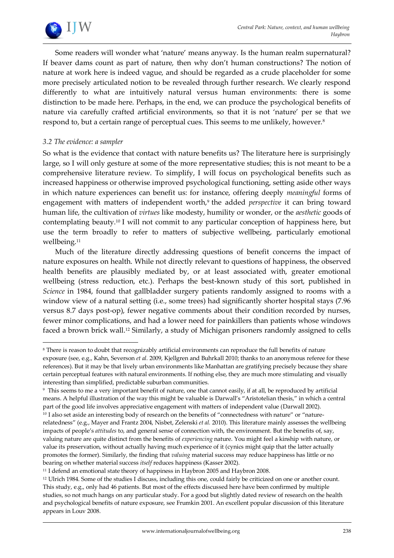

Some readers will wonder what 'nature' means anyway. Is the human realm supernatural? If beaver dams count as part of nature, then why don't human constructions? The notion of nature at work here is indeed vague, and should be regarded as a crude placeholder for some more precisely articulated notion to be revealed through further research. We clearly respond differently to what are intuitively natural versus human environments: there is some distinction to be made here. Perhaps, in the end, we can produce the psychological benefits of nature via carefully crafted artificial environments, so that it is not 'nature' per se that we respond to, but a certain range of perceptual cues. This seems to me unlikely, however.<sup>8</sup>

# *3.2 The evidence: a sampler*

1

So what is the evidence that contact with nature benefits us? The literature here is surprisingly large, so I will only gesture at some of the more representative studies; this is not meant to be a comprehensive literature review. To simplify, I will focus on psychological benefits such as increased happiness or otherwise improved psychological functioning, setting aside other ways in which nature experiences can benefit us: for instance, offering deeply *meaningful* forms of engagement with matters of independent worth,<sup>9</sup> the added *perspective* it can bring toward human life, the cultivation of *virtues* like modesty, humility or wonder, or the *aesthetic* goods of contemplating beauty.<sup>10</sup> I will not commit to any particular conception of happiness here, but use the term broadly to refer to matters of subjective wellbeing, particularly emotional wellbeing.<sup>11</sup>

Much of the literature directly addressing questions of benefit concerns the impact of nature exposures on health. While not directly relevant to questions of happiness, the observed health benefits are plausibly mediated by, or at least associated with, greater emotional wellbeing (stress reduction, etc.). Perhaps the best-known study of this sort, published in *Science* in 1984, found that gallbladder surgery patients randomly assigned to rooms with a window view of a natural setting (i.e., some trees) had significantly shorter hospital stays (7.96 versus 8.7 days post-op), fewer negative comments about their condition recorded by nurses, fewer minor complications, and had a lower need for painkillers than patients whose windows faced a brown brick wall.<sup>12</sup> Similarly, a study of Michigan prisoners randomly assigned to cells

<sup>8</sup> There is reason to doubt that recognizably artificial environments can reproduce the full benefits of nature exposure (see, e.g., Kahn, Severson *et al.* 2009, Kjellgren and Buhrkall 2010; thanks to an anonymous referee for these references). But it may be that lively urban environments like Manhattan are gratifying precisely because they share certain perceptual features with natural environments. If nothing else, they are much more stimulating and visually interesting than simplified, predictable suburban communities.

<sup>9</sup> This seems to me a very important benefit of nature, one that cannot easily, if at all, be reproduced by artificial means. A helpful illustration of the way this might be valuable is Darwall's 'Aristotelian thesis,' in which a central part of the good life involves appreciative engagement with matters of independent value (Darwall 2002).

<sup>&</sup>lt;sup>10</sup> I also set aside an interesting body of research on the benefits of "connectedness with nature" or "naturerelatedness' (e.g., Mayer and Frantz 2004, Nisbet, Zelenski *et al.* 2010). This literature mainly assesses the wellbeing impacts of people's *attitudes* to, and general sense of connection with, the environment. But the benefits of, say, valuing nature are quite distinct from the benefits of *experiencing* nature. You might feel a kinship with nature, or value its preservation, without actually having much experience of it (cynics might quip that the latter actually promotes the former). Similarly, the finding that *valuing* material success may reduce happiness has little or no bearing on whether material success *itself* reduces happiness (Kasser 2002).

<sup>&</sup>lt;sup>11</sup> I defend an emotional state theory of happiness in Haybron 2005 and Haybron 2008.

<sup>&</sup>lt;sup>12</sup> Ulrich 1984. Some of the studies I discuss, including this one, could fairly be criticized on one or another count. This study, e.g., only had 46 patients. But most of the effects discussed here have been confirmed by multiple studies, so not much hangs on any particular study. For a good but slightly dated review of research on the health and psychological benefits of nature exposure, see Frumkin 2001. An excellent popular discussion of this literature appears in Louv 2008.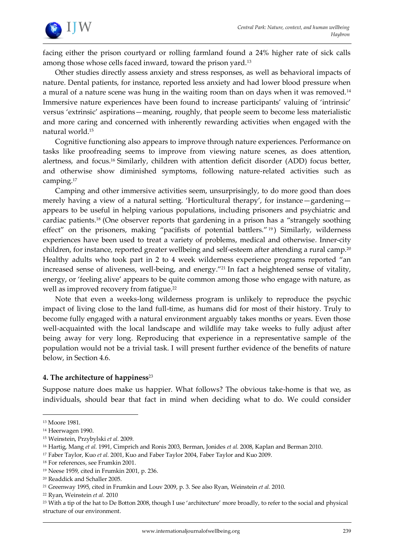

facing either the prison courtyard or rolling farmland found a 24% higher rate of sick calls among those whose cells faced inward, toward the prison yard.<sup>13</sup>

Other studies directly assess anxiety and stress responses, as well as behavioral impacts of nature. Dental patients, for instance, reported less anxiety and had lower blood pressure when a mural of a nature scene was hung in the waiting room than on days when it was removed.<sup>14</sup> Immersive nature experiences have been found to increase participants' valuing of 'intrinsic' versus 'extrinsic' aspirations—meaning, roughly, that people seem to become less materialistic and more caring and concerned with inherently rewarding activities when engaged with the natural world.<sup>15</sup>

Cognitive functioning also appears to improve through nature experiences. Performance on tasks like proofreading seems to improve from viewing nature scenes, as does attention, alertness, and focus.<sup>16</sup> Similarly, children with attention deficit disorder (ADD) focus better, and otherwise show diminished symptoms, following nature-related activities such as camping.<sup>17</sup>

Camping and other immersive activities seem, unsurprisingly, to do more good than does merely having a view of a natural setting. 'Horticultural therapy', for instance—gardening appears to be useful in helping various populations, including prisoners and psychiatric and cardiac patients.<sup>18</sup> (One observer reports that gardening in a prison has a 'strangely soothing effect" on the prisoners, making "pacifists of potential battlers."<sup>19</sup>) Similarly, wilderness experiences have been used to treat a variety of problems, medical and otherwise. Inner-city children, for instance, reported greater wellbeing and self-esteem after attending a rural camp.<sup>20</sup> Healthy adults who took part in 2 to 4 week wilderness experience programs reported 'an increased sense of aliveness, well-being, and energy."<sup>21</sup> In fact a heightened sense of vitality, energy, or 'feeling alive' appears to be quite common among those who engage with nature, as well as improved recovery from fatigue.<sup>22</sup>

Note that even a weeks-long wilderness program is unlikely to reproduce the psychic impact of living close to the land full-time, as humans did for most of their history. Truly to become fully engaged with a natural environment arguably takes months or years. Even those well-acquainted with the local landscape and wildlife may take weeks to fully adjust after being away for very long. Reproducing that experience in a representative sample of the population would not be a trivial task. I will present further evidence of the benefits of nature below, in Section 4.6.

#### **4. The architecture of happiness**<sup>23</sup>

Suppose nature does make us happier. What follows? The obvious take-home is that we, as individuals, should bear that fact in mind when deciding what to do. We could consider

<sup>13</sup> Moore 1981.

<sup>14</sup> Heerwagen 1990.

<sup>15</sup> Weinstein, Przybylski *et al.* 2009.

<sup>16</sup> Hartig, Mang *et al.* 1991, Cimprich and Ronis 2003, Berman, Jonides *et al.* 2008, Kaplan and Berman 2010.

<sup>17</sup> Faber Taylor, Kuo *et al.* 2001, Kuo and Faber Taylor 2004, Faber Taylor and Kuo 2009.

<sup>18</sup> For references, see Frumkin 2001.

<sup>19</sup> Neese 1959, cited in Frumkin 2001, p. 236.

<sup>20</sup> Readdick and Schaller 2005.

<sup>21</sup> Greenway 1995, cited in Frumkin and Louv 2009, p. 3. See also Ryan, Weinstein *et al.* 2010.

<sup>22</sup> Ryan, Weinstein *et al.* 2010

<sup>&</sup>lt;sup>23</sup> With a tip of the hat to De Botton 2008, though I use 'architecture' more broadly, to refer to the social and physical structure of our environment.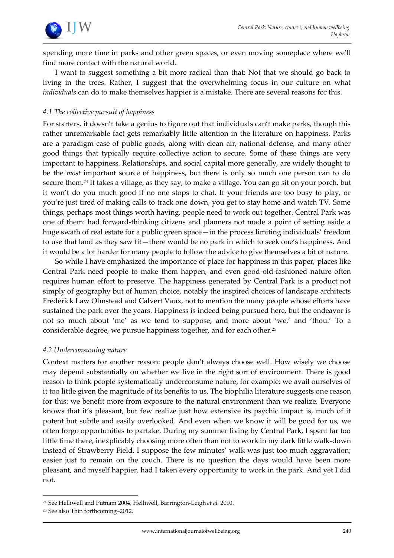

spending more time in parks and other green spaces, or even moving someplace where we'll find more contact with the natural world.

I want to suggest something a bit more radical than that: Not that we should go back to living in the trees. Rather, I suggest that the overwhelming focus in our culture on what *individuals* can do to make themselves happier is a mistake. There are several reasons for this.

# *4.1 The collective pursuit of happiness*

For starters, it doesn't take a genius to figure out that individuals can't make parks, though this rather unremarkable fact gets remarkably little attention in the literature on happiness. Parks are a paradigm case of public goods, along with clean air, national defense, and many other good things that typically require collective action to secure. Some of these things are very important to happiness. Relationships, and social capital more generally, are widely thought to be the *most* important source of happiness, but there is only so much one person can to do secure them.<sup>24</sup> It takes a village, as they say, to make a village. You can go sit on your porch, but it won't do you much good if no one stops to chat. If your friends are too busy to play, or you're just tired of making calls to track one down, you get to stay home and watch TV. Some things, perhaps most things worth having, people need to work out together. Central Park was one of them: had forward-thinking citizens and planners not made a point of setting aside a huge swath of real estate for a public green space—in the process limiting individuals' freedom to use that land as they saw fit—there would be no park in which to seek one's happiness. And it would be a lot harder for many people to follow the advice to give themselves a bit of nature.

So while I have emphasized the importance of place for happiness in this paper, places like Central Park need people to make them happen, and even good-old-fashioned nature often requires human effort to preserve. The happiness generated by Central Park is a product not simply of geography but of human choice, notably the inspired choices of landscape architects Frederick Law Olmstead and Calvert Vaux, not to mention the many people whose efforts have sustained the park over the years. Happiness is indeed being pursued here, but the endeavor is not so much about 'me' as we tend to suppose, and more about 'we,' and 'thou.' To a considerable degree, we pursue happiness together, and for each other.<sup>25</sup>

#### *4.2 Underconsuming nature*

Context matters for another reason: people don't always choose well. How wisely we choose may depend substantially on whether we live in the right sort of environment. There is good reason to think people systematically underconsume nature, for example: we avail ourselves of it too little given the magnitude of its benefits to us. The biophilia literature suggests one reason for this: we benefit more from exposure to the natural environment than we realize. Everyone knows that it's pleasant, but few realize just how extensive its psychic impact is, much of it potent but subtle and easily overlooked. And even when we know it will be good for us, we often forgo opportunities to partake. During my summer living by Central Park, I spent far too little time there, inexplicably choosing more often than not to work in my dark little walk-down instead of Strawberry Field. I suppose the few minutes' walk was just too much aggravation; easier just to remain on the couch. There is no question the days would have been more pleasant, and myself happier, had I taken every opportunity to work in the park. And yet I did not.

<sup>24</sup> See Helliwell and Putnam 2004, Helliwell, Barrington-Leigh *et al.* 2010.

<sup>25</sup> See also Thin forthcoming–2012.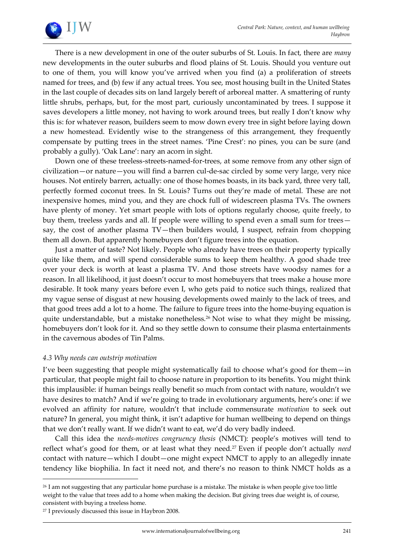

There is a new development in one of the outer suburbs of St. Louis. In fact, there are *many* new developments in the outer suburbs and flood plains of St. Louis. Should you venture out to one of them, you will know you've arrived when you find (a) a proliferation of streets named for trees, and (b) few if any actual trees. You see, most housing built in the United States in the last couple of decades sits on land largely bereft of arboreal matter. A smattering of runty little shrubs, perhaps, but, for the most part, curiously uncontaminated by trees. I suppose it saves developers a little money, not having to work around trees, but really I don't know why this is: for whatever reason, builders seem to mow down every tree in sight before laying down a new homestead. Evidently wise to the strangeness of this arrangement, they frequently compensate by putting trees in the street names. 'Pine Crest': no pines, you can be sure (and probably a gully). 'Oak Lane': nary an acorn in sight.

Down one of these treeless-streets-named-for-trees, at some remove from any other sign of civilization—or nature—you will find a barren cul-de-sac circled by some very large, very nice houses. Not entirely barren, actually: one of those homes boasts, in its back yard, three very tall, perfectly formed coconut trees. In St. Louis? Turns out they're made of metal. These are not inexpensive homes, mind you, and they are chock full of widescreen plasma TVs. The owners have plenty of money. Yet smart people with lots of options regularly choose, quite freely, to buy them, treeless yards and all. If people were willing to spend even a small sum for trees say, the cost of another plasma TV—then builders would, I suspect, refrain from chopping them all down. But apparently homebuyers don't figure trees into the equation.

Just a matter of taste? Not likely. People who already have trees on their property typically quite like them, and will spend considerable sums to keep them healthy. A good shade tree over your deck is worth at least a plasma TV. And those streets have woodsy names for a reason. In all likelihood, it just doesn't occur to most homebuyers that trees make a house more desirable. It took many years before even I, who gets paid to notice such things, realized that my vague sense of disgust at new housing developments owed mainly to the lack of trees, and that good trees add a lot to a home. The failure to figure trees into the home-buying equation is quite understandable, but a mistake nonetheless.<sup>26</sup> Not wise to what they might be missing, homebuyers don't look for it. And so they settle down to consume their plasma entertainments in the cavernous abodes of Tin Palms.

#### *4.3 Why needs can outstrip motivation*

I've been suggesting that people might systematically fail to choose what's good for them—in particular, that people might fail to choose nature in proportion to its benefits. You might think this implausible: if human beings really benefit so much from contact with nature, wouldn't we have desires to match? And if we're going to trade in evolutionary arguments, here's one: if we evolved an affinity for nature, wouldn't that include commensurate *motivation* to seek out nature? In general, you might think, it isn't adaptive for human wellbeing to depend on things that we don't really want. If we didn't want to eat, we'd do very badly indeed.

Call this idea the *needs-motives congruency thesis* (NMCT): people's motives will tend to reflect what's good for them, or at least what they need.<sup>27</sup> Even if people don't actually *need* contact with nature—which I doubt—one might expect NMCT to apply to an allegedly innate tendency like biophilia. In fact it need not, and there's no reason to think NMCT holds as a

<sup>&</sup>lt;sup>26</sup> I am not suggesting that any particular home purchase is a mistake. The mistake is when people give too little weight to the value that trees add to a home when making the decision. But giving trees due weight is, of course, consistent with buying a treeless home.

<sup>27</sup> I previously discussed this issue in Haybron 2008.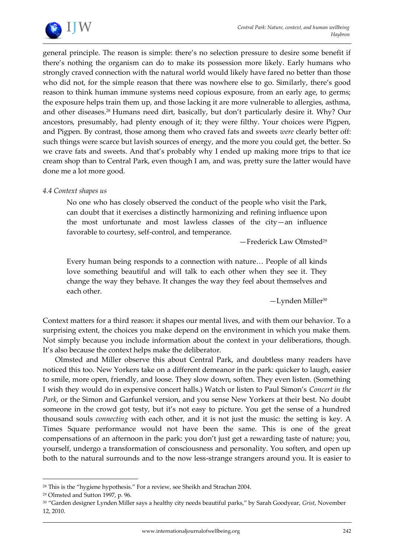

general principle. The reason is simple: there's no selection pressure to desire some benefit if there's nothing the organism can do to make its possession more likely. Early humans who strongly craved connection with the natural world would likely have fared no better than those who did not, for the simple reason that there was nowhere else to go. Similarly, there's good reason to think human immune systems need copious exposure, from an early age, to germs; the exposure helps train them up, and those lacking it are more vulnerable to allergies, asthma, and other diseases.<sup>28</sup> Humans need dirt, basically, but don't particularly desire it. Why? Our ancestors, presumably, had plenty enough of it; they were filthy. Your choices were Pigpen, and Pigpen. By contrast, those among them who craved fats and sweets *were* clearly better off: such things were scarce but lavish sources of energy, and the more you could get, the better. So we crave fats and sweets. And that's probably why I ended up making more trips to that ice cream shop than to Central Park, even though I am, and was, pretty sure the latter would have done me a lot more good.

#### *4.4 Context shapes us*

No one who has closely observed the conduct of the people who visit the Park, can doubt that it exercises a distinctly harmonizing and refining influence upon the most unfortunate and most lawless classes of the city—an influence favorable to courtesy, self-control, and temperance.

—Frederick Law Olmsted<sup>29</sup>

Every human being responds to a connection with nature... People of all kinds love something beautiful and will talk to each other when they see it. They change the way they behave. It changes the way they feel about themselves and each other.

 $-Ly$ nden Miller<sup>30</sup>

Context matters for a third reason: it shapes our mental lives, and with them our behavior. To a surprising extent, the choices you make depend on the environment in which you make them. Not simply because you include information about the context in your deliberations, though. It's also because the context helps make the deliberator.

Olmsted and Miller observe this about Central Park, and doubtless many readers have noticed this too. New Yorkers take on a different demeanor in the park: quicker to laugh, easier to smile, more open, friendly, and loose. They slow down, soften. They even listen. (Something I wish they would do in expensive concert halls.) Watch or listen to Paul Simon's *Concert in the Park*, or the Simon and Garfunkel version, and you sense New Yorkers at their best. No doubt someone in the crowd got testy, but it's not easy to picture. You get the sense of a hundred thousand souls *connecting* with each other, and it is not just the music: the setting is key. A Times Square performance would not have been the same. This is one of the great compensations of an afternoon in the park: you don't just get a rewarding taste of nature; you, yourself, undergo a transformation of consciousness and personality. You soften, and open up both to the natural surrounds and to the now less-strange strangers around you. It is easier to

<sup>&</sup>lt;sup>28</sup> This is the "hygiene hypothesis." For a review, see Sheikh and Strachan 2004.

<sup>29</sup> Olmsted and Sutton 1997, p. 96.

<sup>30</sup> 'Garden designer Lynden Miller says a healthy city needs beautiful parks,' by Sarah Goodyear, *Grist*, November 12, 2010.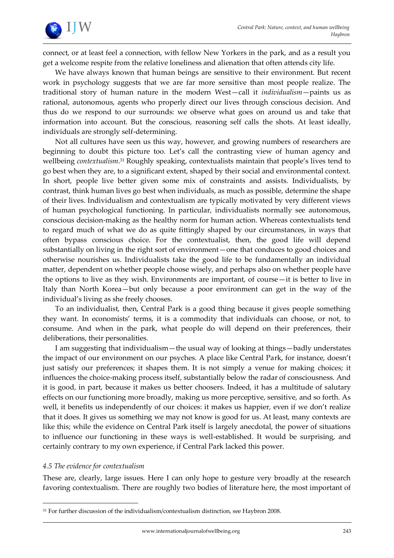

connect, or at least feel a connection, with fellow New Yorkers in the park, and as a result you get a welcome respite from the relative loneliness and alienation that often attends city life.

We have always known that human beings are sensitive to their environment. But recent work in psychology suggests that we are far more sensitive than most people realize. The traditional story of human nature in the modern West—call it *individualism*—paints us as rational, autonomous, agents who properly direct our lives through conscious decision. And thus do we respond to our surrounds: we observe what goes on around us and take that information into account. But the conscious, reasoning self calls the shots. At least ideally, individuals are strongly self-determining.

Not all cultures have seen us this way, however, and growing numbers of researchers are beginning to doubt this picture too. Let's call the contrasting view of human agency and wellbeing *contextualism*. <sup>31</sup> Roughly speaking, contextualists maintain that people's lives tend to go best when they are, to a significant extent, shaped by their social and environmental context. In short, people live better given some mix of constraints and assists. Individualists, by contrast, think human lives go best when individuals, as much as possible, determine the shape of their lives. Individualism and contextualism are typically motivated by very different views of human psychological functioning. In particular, individualists normally see autonomous, conscious decision-making as the healthy norm for human action. Whereas contextualists tend to regard much of what we do as quite fittingly shaped by our circumstances, in ways that often bypass conscious choice. For the contextualist, then, the good life will depend substantially on living in the right sort of environment—one that conduces to good choices and otherwise nourishes us. Individualists take the good life to be fundamentally an individual matter, dependent on whether people choose wisely, and perhaps also on whether people have the options to live as they wish. Environments are important, of course—it is better to live in Italy than North Korea—but only because a poor environment can get in the way of the individual's living as she freely chooses.

To an individualist, then, Central Park is a good thing because it gives people something they want. In economists' terms, it is a commodity that individuals can choose, or not, to consume. And when in the park, what people do will depend on their preferences, their deliberations, their personalities.

I am suggesting that individualism—the usual way of looking at things—badly understates the impact of our environment on our psyches. A place like Central Park, for instance, doesn't just satisfy our preferences; it shapes them. It is not simply a venue for making choices; it influences the choice-making process itself, substantially below the radar of consciousness. And it is good, in part, because it makes us better choosers. Indeed, it has a multitude of salutary effects on our functioning more broadly, making us more perceptive, sensitive, and so forth. As well, it benefits us independently of our choices: it makes us happier, even if we don't realize that it does. It gives us something we may not know is good for us. At least, many contexts are like this; while the evidence on Central Park itself is largely anecdotal, the power of situations to influence our functioning in these ways is well-established. It would be surprising, and certainly contrary to my own experience, if Central Park lacked this power.

# *4.5 The evidence for contextualism*

1

These are, clearly, large issues. Here I can only hope to gesture very broadly at the research favoring contextualism. There are roughly two bodies of literature here, the most important of

<sup>31</sup> For further discussion of the individualism/contextualism distinction, see Haybron 2008.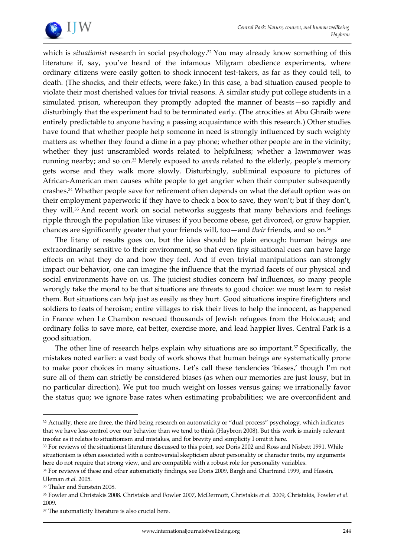

which is *situationist* research in social psychology.<sup>32</sup> You may already know something of this literature if, say, you've heard of the infamous Milgram obedience experiments, where ordinary citizens were easily gotten to shock innocent test-takers, as far as they could tell, to death. (The shocks, and their effects, were fake.) In this case, a bad situation caused people to violate their most cherished values for trivial reasons. A similar study put college students in a simulated prison, whereupon they promptly adopted the manner of beasts—so rapidly and disturbingly that the experiment had to be terminated early. (The atrocities at Abu Ghraib were entirely predictable to anyone having a passing acquaintance with this research.) Other studies have found that whether people help someone in need is strongly influenced by such weighty matters as: whether they found a dime in a pay phone; whether other people are in the vicinity; whether they just unscrambled words related to helpfulness; whether a lawnmower was running nearby; and so on.<sup>33</sup> Merely exposed to *words* related to the elderly, people's memory gets worse and they walk more slowly. Disturbingly, subliminal exposure to pictures of African-American men causes white people to get angrier when their computer subsequently crashes.<sup>34</sup> Whether people save for retirement often depends on what the default option was on their employment paperwork: if they have to check a box to save, they won't; but if they don't, they will.<sup>35</sup> And recent work on social networks suggests that many behaviors and feelings ripple through the population like viruses: if you become obese, get divorced, or grow happier, chances are significantly greater that your friends will, too—and *their* friends, and so on.<sup>36</sup>

The litany of results goes on, but the idea should be plain enough: human beings are extraordinarily sensitive to their environment, so that even tiny situational cues can have large effects on what they do and how they feel. And if even trivial manipulations can strongly impact our behavior, one can imagine the influence that the myriad facets of our physical and social environments have on us. The juiciest studies concern *bad* influences, so many people wrongly take the moral to be that situations are threats to good choice: we must learn to resist them. But situations can *help* just as easily as they hurt. Good situations inspire firefighters and soldiers to feats of heroism; entire villages to risk their lives to help the innocent, as happened in France when Le Chambon rescued thousands of Jewish refugees from the Holocaust; and ordinary folks to save more, eat better, exercise more, and lead happier lives. Central Park is a good situation.

The other line of research helps explain why situations are so important.<sup>37</sup> Specifically, the mistakes noted earlier: a vast body of work shows that human beings are systematically prone to make poor choices in many situations. Let's call these tendencies 'biases,' though I'm not sure all of them can strictly be considered biases (as when our memories are just lousy, but in no particular direction). We put too much weight on losses versus gains; we irrationally favor the status quo; we ignore base rates when estimating probabilities; we are overconfident and

<sup>32</sup> Actually, there are three, the third being research on automaticity or "dual process" psychology, which indicates that we have less control over our behavior than we tend to think (Haybron 2008). But this work is mainly relevant insofar as it relates to situationism and mistakes, and for brevity and simplicity I omit it here.

<sup>&</sup>lt;sup>33</sup> For reviews of the situationist literature discussed to this point, see Doris 2002 and Ross and Nisbett 1991. While situationism is often associated with a controversial skepticism about personality or character traits, my arguments here do not require that strong view, and are compatible with a robust role for personality variables.

<sup>34</sup> For reviews of these and other automaticity findings, see Doris 2009, Bargh and Chartrand 1999, and Hassin,

Uleman *et al.* 2005.

<sup>&</sup>lt;sup>35</sup> Thaler and Sunstein 2008.

<sup>36</sup> Fowler and Christakis 2008. Christakis and Fowler 2007, McDermott, Christakis *et al.* 2009, Christakis, Fowler *et al.* 2009.

<sup>&</sup>lt;sup>37</sup> The automaticity literature is also crucial here.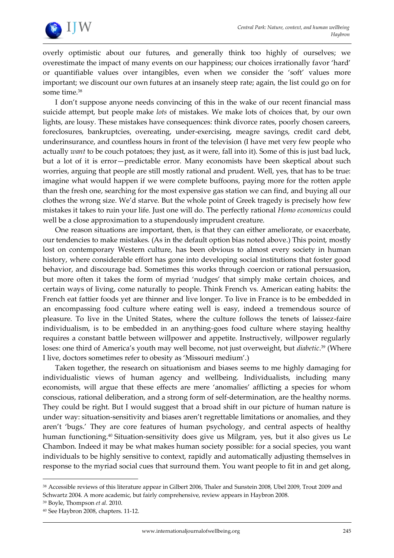

overly optimistic about our futures, and generally think too highly of ourselves; we overestimate the impact of many events on our happiness; our choices irrationally favor 'hard' or quantifiable values over intangibles, even when we consider the 'soft' values more important; we discount our own futures at an insanely steep rate; again, the list could go on for some time.<sup>38</sup>

I don't suppose anyone needs convincing of this in the wake of our recent financial mass suicide attempt, but people make *lots* of mistakes. We make lots of choices that, by our own lights, are lousy. These mistakes have consequences: think divorce rates, poorly chosen careers, foreclosures, bankruptcies, overeating, under-exercising, meagre savings, credit card debt, underinsurance, and countless hours in front of the television (I have met very few people who actually *want* to be couch potatoes; they just, as it were, fall into it). Some of this is just bad luck, but a lot of it is error—predictable error. Many economists have been skeptical about such worries, arguing that people are still mostly rational and prudent. Well, yes, that has to be true: imagine what would happen if we were complete buffoons, paying more for the rotten apple than the fresh one, searching for the most expensive gas station we can find, and buying all our clothes the wrong size. We'd starve. But the whole point of Greek tragedy is precisely how few mistakes it takes to ruin your life. Just one will do. The perfectly rational *Homo economicus* could well be a close approximation to a stupendously imprudent creature.

One reason situations are important, then, is that they can either ameliorate, or exacerbate, our tendencies to make mistakes. (As in the default option bias noted above.) This point, mostly lost on contemporary Western culture, has been obvious to almost every society in human history, where considerable effort has gone into developing social institutions that foster good behavior, and discourage bad. Sometimes this works through coercion or rational persuasion, but more often it takes the form of myriad 'nudges' that simply make certain choices, and certain ways of living, come naturally to people. Think French vs. American eating habits: the French eat fattier foods yet are thinner and live longer. To live in France is to be embedded in an encompassing food culture where eating well is easy, indeed a tremendous source of pleasure. To live in the United States, where the culture follows the tenets of laissez-faire individualism, is to be embedded in an anything-goes food culture where staying healthy requires a constant battle between willpower and appetite. Instructively, willpower regularly loses: one third of America's youth may well become, not just overweight, but *diabetic*. <sup>39</sup> (Where I live, doctors sometimes refer to obesity as 'Missouri medium'.)

Taken together, the research on situationism and biases seems to me highly damaging for individualistic views of human agency and wellbeing. Individualists, including many economists, will argue that these effects are mere 'anomalies' afflicting a species for whom conscious, rational deliberation, and a strong form of self-determination, are the healthy norms. They could be right. But I would suggest that a broad shift in our picture of human nature is under way: situation-sensitivity and biases aren't regrettable limitations or anomalies, and they aren't 'bugs.' They are core features of human psychology, and central aspects of healthy human functioning.<sup>40</sup> Situation-sensitivity does give us Milgram, yes, but it also gives us Le Chambon. Indeed it may be what makes human society possible: for a social species, you want individuals to be highly sensitive to context, rapidly and automatically adjusting themselves in response to the myriad social cues that surround them. You want people to fit in and get along,

<sup>38</sup> Accessible reviews of this literature appear in Gilbert 2006, Thaler and Sunstein 2008, Ubel 2009, Trout 2009 and Schwartz 2004. A more academic, but fairly comprehensive, review appears in Haybron 2008.

<sup>39</sup> Boyle, Thompson *et al.* 2010.

<sup>40</sup> See Haybron 2008, chapters. 11-12.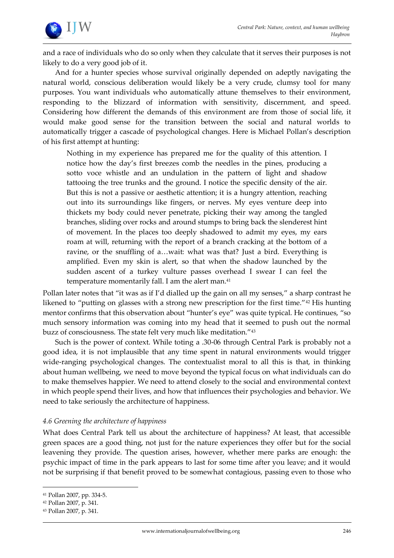

and a race of individuals who do so only when they calculate that it serves their purposes is not likely to do a very good job of it.

And for a hunter species whose survival originally depended on adeptly navigating the natural world, conscious deliberation would likely be a very crude, clumsy tool for many purposes. You want individuals who automatically attune themselves to their environment, responding to the blizzard of information with sensitivity, discernment, and speed. Considering how different the demands of this environment are from those of social life, it would make good sense for the transition between the social and natural worlds to automatically trigger a cascade of psychological changes. Here is Michael Pollan's description of his first attempt at hunting:

Nothing in my experience has prepared me for the quality of this attention. I notice how the day's first breezes comb the needles in the pines, producing a sotto voce whistle and an undulation in the pattern of light and shadow tattooing the tree trunks and the ground. I notice the specific density of the air. But this is not a passive or aesthetic attention; it is a hungry attention, reaching out into its surroundings like fingers, or nerves. My eyes venture deep into thickets my body could never penetrate, picking their way among the tangled branches, sliding over rocks and around stumps to bring back the slenderest hint of movement. In the places too deeply shadowed to admit my eyes, my ears roam at will, returning with the report of a branch cracking at the bottom of a ravine, or the snuffling of a...wait: what was that? Just a bird. Everything is amplified. Even my skin is alert, so that when the shadow launched by the sudden ascent of a turkey vulture passes overhead I swear I can feel the temperature momentarily fall. I am the alert man.<sup>41</sup>

Pollan later notes that "it was as if I'd dialled up the gain on all my senses," a sharp contrast he likened to "putting on glasses with a strong new prescription for the first time."<sup>42</sup> His hunting mentor confirms that this observation about 'hunter's eye' was quite typical. He continues, 'so much sensory information was coming into my head that it seemed to push out the normal buzz of consciousness. The state felt very much like meditation."<sup>43</sup>

Such is the power of context. While toting a .30-06 through Central Park is probably not a good idea, it is not implausible that any time spent in natural environments would trigger wide-ranging psychological changes. The contextualist moral to all this is that, in thinking about human wellbeing, we need to move beyond the typical focus on what individuals can do to make themselves happier. We need to attend closely to the social and environmental context in which people spend their lives, and how that influences their psychologies and behavior. We need to take seriously the architecture of happiness.

#### *4.6 Greening the architecture of happiness*

What does Central Park tell us about the architecture of happiness? At least, that accessible green spaces are a good thing, not just for the nature experiences they offer but for the social leavening they provide. The question arises, however, whether mere parks are enough: the psychic impact of time in the park appears to last for some time after you leave; and it would not be surprising if that benefit proved to be somewhat contagious, passing even to those who

<sup>41</sup> Pollan 2007, pp. 334-5.

<sup>42</sup> Pollan 2007, p. 341.

<sup>43</sup> Pollan 2007, p. 341.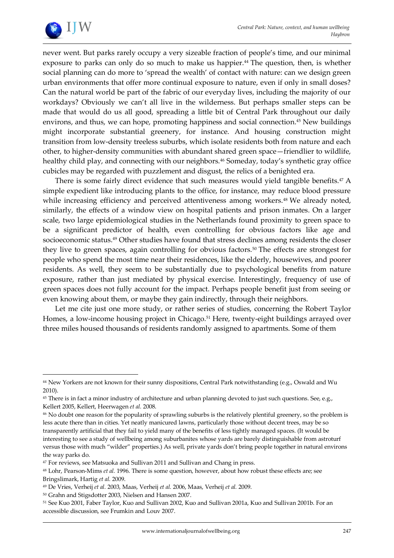

1

never went. But parks rarely occupy a very sizeable fraction of people's time, and our minimal exposure to parks can only do so much to make us happier.<sup>44</sup> The question, then, is whether social planning can do more to 'spread the wealth' of contact with nature: can we design green urban environments that offer more continual exposure to nature, even if only in small doses? Can the natural world be part of the fabric of our everyday lives, including the majority of our workdays? Obviously we can't all live in the wilderness. But perhaps smaller steps can be made that would do us all good, spreading a little bit of Central Park throughout our daily environs, and thus, we can hope, promoting happiness and social connection.<sup>45</sup> New buildings might incorporate substantial greenery, for instance. And housing construction might transition from low-density treeless suburbs, which isolate residents both from nature and each other, to higher-density communities with abundant shared green space—friendlier to wildlife, healthy child play, and connecting with our neighbors.<sup>46</sup> Someday, today's synthetic gray office cubicles may be regarded with puzzlement and disgust, the relics of a benighted era.

There is some fairly direct evidence that such measures would yield tangible benefits.<sup>47</sup> A simple expedient like introducing plants to the office, for instance, may reduce blood pressure while increasing efficiency and perceived attentiveness among workers.<sup>48</sup> We already noted, similarly, the effects of a window view on hospital patients and prison inmates. On a larger scale, two large epidemiological studies in the Netherlands found proximity to green space to be a significant predictor of health, even controlling for obvious factors like age and socioeconomic status.<sup>49</sup> Other studies have found that stress declines among residents the closer they live to green spaces, again controlling for obvious factors.<sup>50</sup> The effects are strongest for people who spend the most time near their residences, like the elderly, housewives, and poorer residents. As well, they seem to be substantially due to psychological benefits from nature exposure, rather than just mediated by physical exercise. Interestingly, frequency of use of green spaces does not fully account for the impact. Perhaps people benefit just from seeing or even knowing about them, or maybe they gain indirectly, through their neighbors.

Let me cite just one more study, or rather series of studies, concerning the Robert Taylor Homes, a low-income housing project in Chicago.<sup>51</sup> Here, twenty-eight buildings arrayed over three miles housed thousands of residents randomly assigned to apartments. Some of them

<sup>&</sup>lt;sup>44</sup> New Yorkers are not known for their sunny dispositions, Central Park notwithstanding (e.g., Oswald and Wu 2010).

<sup>&</sup>lt;sup>45</sup> There is in fact a minor industry of architecture and urban planning devoted to just such questions. See, e.g., Kellert 2005, Kellert, Heerwagen *et al.* 2008.

<sup>46</sup> No doubt one reason for the popularity of sprawling suburbs is the relatively plentiful greenery, so the problem is less acute there than in cities. Yet neatly manicured lawns, particularly those without decent trees, may be so transparently artificial that they fail to yield many of the benefits of less tightly managed spaces. (It would be interesting to see a study of wellbeing among suburbanites whose yards are barely distinguishable from astroturf versus those with much 'wilder' properties.) As well, private yards don't bring people together in natural environs the way parks do.

<sup>47</sup> For reviews, see Matsuoka and Sullivan 2011 and Sullivan and Chang in press.

<sup>48</sup> Lohr, Pearson-Mims *et al.* 1996. There is some question, however, about how robust these effects are; see Bringslimark, Hartig *et al.* 2009.

<sup>49</sup> De Vries, Verheij *et al.* 2003, Maas, Verheij *et al.* 2006, Maas, Verheij *et al.* 2009.

<sup>50</sup> Grahn and Stigsdotter 2003, Nielsen and Hansen 2007.

<sup>51</sup> See Kuo 2001, Faber Taylor, Kuo and Sullivan 2002, Kuo and Sullivan 2001a, Kuo and Sullivan 2001b. For an accessible discussion, see Frumkin and Louv 2007.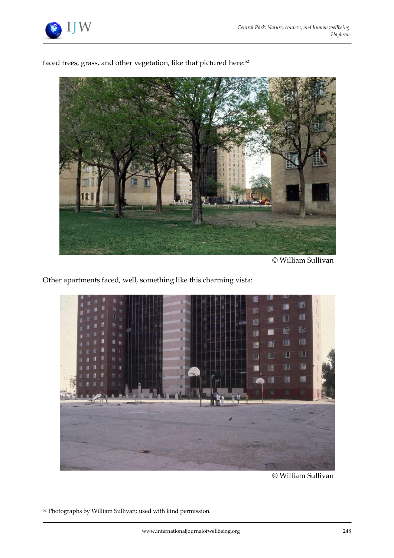

faced trees, grass, and other vegetation, like that pictured here: 52



© William Sullivan

Other apartments faced, well, something like this charming vista:



© William Sullivan

<sup>52</sup> Photographs by William Sullivan; used with kind permission.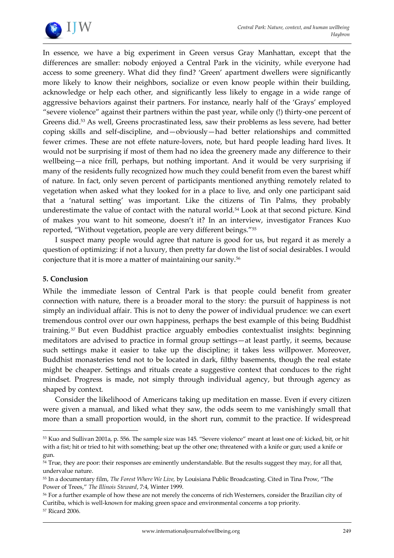

In essence, we have a big experiment in Green versus Gray Manhattan, except that the differences are smaller: nobody enjoyed a Central Park in the vicinity, while everyone had access to some greenery. What did they find? 'Green' apartment dwellers were significantly more likely to know their neighbors, socialize or even know people within their building, acknowledge or help each other, and significantly less likely to engage in a wide range of aggressive behaviors against their partners. For instance, nearly half of the 'Grays' employed 'severe violence' against their partners within the past year, while only (!) thirty-one percent of Greens did.<sup>53</sup> As well, Greens procrastinated less, saw their problems as less severe, had better coping skills and self-discipline, and—obviously—had better relationships and committed fewer crimes. These are not effete nature-lovers, note, but hard people leading hard lives. It would not be surprising if most of them had no idea the greenery made any difference to their wellbeing—a nice frill, perhaps, but nothing important. And it would be very surprising if many of the residents fully recognized how much they could benefit from even the barest whiff of nature. In fact, only seven percent of participants mentioned anything remotely related to vegetation when asked what they looked for in a place to live, and only one participant said that a 'natural setting' was important. Like the citizens of Tin Palms, they probably underestimate the value of contact with the natural world.<sup>54</sup> Look at that second picture. Kind of makes you want to hit someone, doesn't it? In an interview, investigator Frances Kuo reported, "Without vegetation, people are very different beings."<sup>55</sup>

I suspect many people would agree that nature is good for us, but regard it as merely a question of optimizing: if not a luxury, then pretty far down the list of social desirables. I would conjecture that it is more a matter of maintaining our sanity.<sup>56</sup>

#### **5. Conclusion**

1

While the immediate lesson of Central Park is that people could benefit from greater connection with nature, there is a broader moral to the story: the pursuit of happiness is not simply an individual affair. This is not to deny the power of individual prudence: we can exert tremendous control over our own happiness, perhaps the best example of this being Buddhist training. <sup>57</sup> But even Buddhist practice arguably embodies contextualist insights: beginning meditators are advised to practice in formal group settings—at least partly, it seems, because such settings make it easier to take up the discipline; it takes less willpower. Moreover, Buddhist monasteries tend not to be located in dark, filthy basements, though the real estate might be cheaper. Settings and rituals create a suggestive context that conduces to the right mindset. Progress is made, not simply through individual agency, but through agency as shaped by context.

Consider the likelihood of Americans taking up meditation en masse. Even if every citizen were given a manual, and liked what they saw, the odds seem to me vanishingly small that more than a small proportion would, in the short run, commit to the practice. If widespread

*Haybron*

<sup>53</sup> Kuo and Sullivan 2001a, p. 556. The sample size was 145. 'Severe violence' meant at least one of: kicked, bit, or hit with a fist; hit or tried to hit with something; beat up the other one; threatened with a knife or gun; used a knife or gun.

<sup>&</sup>lt;sup>54</sup> True, they are poor: their responses are eminently understandable. But the results suggest they may, for all that, undervalue nature.

<sup>55</sup> In a documentary film, *The Forest Where We Live,* by Louisiana Public Broadcasting. Cited in Tina Prow, 'The Power of Trees,' *The Illinois Steward*, 7:4, Winter 1999.

<sup>56</sup> For a further example of how these are not merely the concerns of rich Westerners, consider the Brazilian city of Curitiba, which is well-known for making green space and environmental concerns a top priority. <sup>57</sup> Ricard 2006.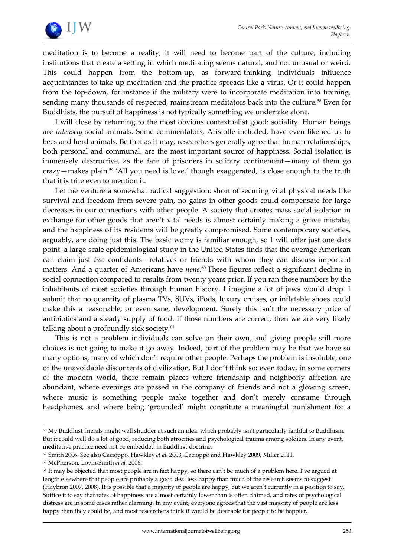

meditation is to become a reality, it will need to become part of the culture, including institutions that create a setting in which meditating seems natural, and not unusual or weird. This could happen from the bottom-up, as forward-thinking individuals influence acquaintances to take up meditation and the practice spreads like a virus. Or it could happen from the top-down, for instance if the military were to incorporate meditation into training, sending many thousands of respected, mainstream meditators back into the culture.<sup>58</sup> Even for Buddhists, the pursuit of happiness is not typically something we undertake alone.

I will close by returning to the most obvious contextualist good: sociality. Human beings are *intensely* social animals. Some commentators, Aristotle included, have even likened us to bees and herd animals. Be that as it may, researchers generally agree that human relationships, both personal and communal, are the most important source of happiness. Social isolation is immensely destructive, as the fate of prisoners in solitary confinement—many of them go crazy—makes plain.<sup>59</sup> 'All you need is love,' though exaggerated, is close enough to the truth that it is trite even to mention it.

Let me venture a somewhat radical suggestion: short of securing vital physical needs like survival and freedom from severe pain, no gains in other goods could compensate for large decreases in our connections with other people. A society that creates mass social isolation in exchange for other goods that aren't vital needs is almost certainly making a grave mistake, and the happiness of its residents will be greatly compromised. Some contemporary societies, arguably, are doing just this. The basic worry is familiar enough, so I will offer just one data point: a large-scale epidemiological study in the United States finds that the average American can claim just *two* confidants—relatives or friends with whom they can discuss important matters. And a quarter of Americans have *none*. <sup>60</sup> These figures reflect a significant decline in social connection compared to results from twenty years prior. If you ran those numbers by the inhabitants of most societies through human history, I imagine a lot of jaws would drop. I submit that no quantity of plasma TVs, SUVs, iPods, luxury cruises, or inflatable shoes could make this a reasonable, or even sane, development. Surely this isn't the necessary price of antibiotics and a steady supply of food. If those numbers are correct, then we are very likely talking about a profoundly sick society.<sup>61</sup>

This is not a problem individuals can solve on their own, and giving people still more choices is not going to make it go away. Indeed, part of the problem may be that we have so many options, many of which don't require other people. Perhaps the problem is insoluble, one of the unavoidable discontents of civilization. But I don't think so: even today, in some corners of the modern world, there remain places where friendship and neighborly affection are abundant, where evenings are passed in the company of friends and not a glowing screen, where music is something people make together and don't merely consume through headphones, and where being 'grounded' might constitute a meaningful punishment for a

<sup>58</sup> My Buddhist friends might well shudder at such an idea, which probably isn't particularly faithful to Buddhism. But it could well do a lot of good, reducing both atrocities and psychological trauma among soldiers. In any event, meditative practice need not be embedded in Buddhist doctrine.

<sup>&</sup>lt;sup>59</sup> Smith 2006. See also Cacioppo, Hawkley *et al.* 2003, Cacioppo and Hawkley 2009, Miller 2011.

<sup>60</sup> McPherson, Lovin-Smith *et al.* 2006.

<sup>&</sup>lt;sup>61</sup> It may be objected that most people are in fact happy, so there can't be much of a problem here. I've argued at length elsewhere that people are probably a good deal less happy than much of the research seems to suggest (Haybron 2007, 2008). It is possible that a majority of people are happy, but we aren't currently in a position to say. Suffice it to say that rates of happiness are almost certainly lower than is often claimed, and rates of psychological distress are in some cases rather alarming. In any event, everyone agrees that the vast majority of people are less happy than they could be, and most researchers think it would be desirable for people to be happier.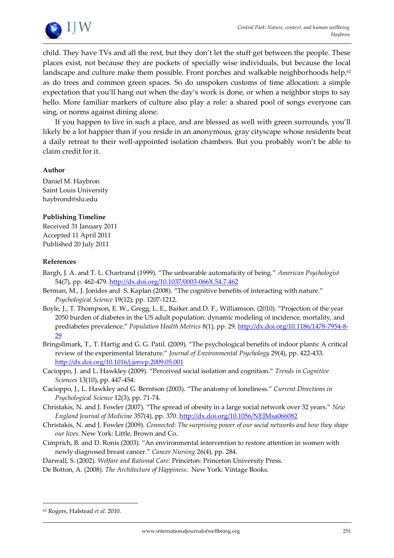

child. They have TVs and all the rest, but they don't let the stuff get between the people. These places exist, not because they are pockets of specially wise individuals, but because the local landscape and culture make them possible. Front porches and walkable neighborhoods help,<sup>62</sup> as do trees and common green spaces. So do unspoken customs of time allocation: a simple expectation that you'll hang out when the day's work is done, or when a neighbor stops to say hello. More familiar markers of culture also play a role: a shared pool of songs everyone can sing, or norms against dining alone.

If you happen to live in such a place, and are blessed as well with green surrounds, you'll likely be a lot happier than if you reside in an anonymous, gray cityscape whose residents beat a daily retreat to their well-appointed isolation chambers. But you probably won't be able to claim credit for it.

#### **Author**

Daniel M. Haybron Saint Louis University haybrond@slu.edu

#### **Publishing Timeline**

Received 31 January 2011 Accepted 11 April 2011 Published 20 July 2011

#### **References**

- Bargh, J. A. and T. L. Chartrand (1999). 'The unbearable automaticity of being.' *American Psychologist* 54(7), pp. 462-479.<http://dx.doi.org/10.1037/0003-066X.54.7.462>
- Berman, M., J. Jonides and S. Kaplan (2008). 'The cognitive benefits of interacting with nature.' *Psychological Science* 19(12), pp. 1207-1212.
- Boyle, J., T. Thompson, E. W., Gregg, L. E., Barker and D. F., Williamson. (2010). 'Projection of the year 2050 burden of diabetes in the US adult population: dynamic modeling of incidence, mortality, and prediabetes prevalence.' *Population Health Metrics* 8(1), pp. 29[. http://dx.doi.org/10.1186/1478-7954-8-](http://dx.doi.org/10.1186/1478-7954-8-29) [29](http://dx.doi.org/10.1186/1478-7954-8-29)
- Bringslimark, T., T. Hartig and G. G. Patil. (2009). 'The psychological benefits of indoor plants: A critical review of the experimental literature.' *Journal of Environmental Psychology* 29(4), pp. 422-433. <http://dx.doi.org/10.1016/j.jenvp.2009.05.001>
- Cacioppo, J. and L. Hawkley (2009). 'Perceived social isolation and cognition.' *Trends in Cognitive Sciences* 13(10), pp. 447-454.
- Cacioppo, J., L. Hawkley and G. Berntson (2003). 'The anatomy of loneliness.' *Current Directions in Psychological Science* 12(3), pp. 71-74.
- Christakis, N. and J. Fowler (2007). 'The spread of obesity in a large social network over 32 years.' *New England Journal of Medicine* 357(4), pp. 370.<http://dx.doi.org/10.1056/NEJMsa066082>
- Christakis, N. and J. Fowler (2009). *Connected: The surprising power of our social networks and how they shape our lives*. New York: Little, Brown and Co.
- Cimprich, B. and D. Ronis (2003). 'An environmental intervention to restore attention in women with newly diagnosed breast cancer.' *Cancer Nursing* 26(4), pp. 284.
- Darwall, S. (2002). *Welfare and Rational Care*. Princeton: Princeton University Press.
- De Botton, A. (2008). *The Architecture of Happiness*. New York: Vintage Books.

<sup>62</sup> Rogers, Halstead *et al.* 2010.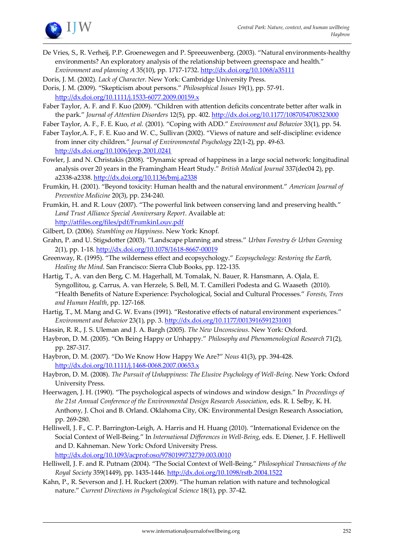

- De Vries, S., R. Verheij, P.P. Groenewegen and P. Spreeuwenberg. (2003). 'Natural environments-healthy environments? An exploratory analysis of the relationship between greenspace and health.' *Environment and planning A* 35(10), pp. 1717-1732.<http://dx.doi.org/10.1068/a35111>
- Doris, J. M. (2002). *Lack of Character*. New York: Cambridge University Press.
- Doris, J. M. (2009). 'Skepticism about persons.' *Philosophical Issues* 19(1), pp. 57-91. <http://dx.doi.org/10.1111/j.1533-6077.2009.00159.x>
- Faber Taylor, A. F. and F. Kuo (2009). 'Children with attention deficits concentrate better after walk in the park.' *Journal of Attention Disorders* 12(5), pp. 402.<http://dx.doi.org/10.1177/1087054708323000>
- Faber Taylor, A. F., F. E. Kuo, *et al.* (2001). 'Coping with ADD.' *Environment and Behavior* 33(1), pp. 54.
- Faber Taylor,A. F., F. E. Kuo and W. C., Sullivan (2002). 'Views of nature and self-discipline: evidence from inner city children.' *Journal of Environmental Psychology* 22(1-2), pp. 49-63. <http://dx.doi.org/10.1006/jevp.2001.0241>
- Fowler, J. and N. Christakis (2008). 'Dynamic spread of happiness in a large social network: longitudinal analysis over 20 years in the Framingham Heart Study.' *British Medical Journal* 337(dec04 2), pp. a2338-a2338[. http://dx.doi.org/10.1136/bmj.a2338](http://dx.doi.org/10.1136/bmj.a2338)
- Frumkin, H. (2001). 'Beyond toxicity: Human health and the natural environment.' *American Journal of Preventive Medicine* 20(3), pp. 234-240.
- Frumkin, H. and R. Louv (2007). 'The powerful link between conserving land and preserving health.' *Land Trust Alliance Special Anniversary Report*. Available at: <http://atfiles.org/files/pdf/FrumkinLouv.pdf>
- Gilbert, D. (2006). *Stumbling on Happiness*. New York: Knopf.
- Grahn, P. and U. Stigsdotter (2003). 'Landscape planning and stress.' *Urban Forestry & Urban Greening* 2(1), pp. 1-18.<http://dx.doi.org/10.1078/1618-8667-00019>
- Greenway, R. (1995). 'The wilderness effect and ecopsychology.' *Ecopsychology: Restoring the Earth, Healing the Mind*. San Francisco: Sierra Club Books, pp. 122-135.
- Hartig, T., A. van den Berg, C. M. Hagerhall, M. Tomalak, N. Bauer, R. Hansmann, A. Ojala, E. Syngollitou, g. Carrus, A. van Herzele, S. Bell, M. T. Camilleri Podesta and G. Waaseth (2010). 'Health Benefits of Nature Experience: Psychological, Social and Cultural Processes.' *Forests, Trees and Human Health*, pp. 127-168.
- Hartig, T., M. Mang and G. W. Evans (1991). "Restorative effects of natural environment experiences." *Environment and Behavior* 23(1), pp. 3.<http://dx.doi.org/10.1177/0013916591231001>
- Hassin, R. R., J. S. Uleman and J. A. Bargh (2005). *The New Unconscious*. New York: Oxford.
- Haybron, D. M. (2005). 'On Being Happy or Unhappy.' *Philosophy and Phenomenological Research* 71(2), pp. 287-317.
- Haybron, D. M. (2007). 'Do We Know How Happy We Are?' *Nous* 41(3), pp. 394-428. <http://dx.doi.org/10.1111/j.1468-0068.2007.00653.x>
- Haybron, D. M. (2008). *The Pursuit of Unhappiness: The Elusive Psychology of Well-Being*. New York: Oxford University Press.
- Heerwagen, J. H. (1990). 'The psychological aspects of windows and window design.' In *Proceedings of the 21st Annual Conference of the Environmental Design Research Association*, eds. R. I. Selby, K. H. Anthony, J. Choi and B. Orland. Oklahoma City, OK: Environmental Design Research Association, pp. 269-280.
- Helliwell, J. F., C. P. Barrington-Leigh, A. Harris and H. Huang (2010). 'International Evidence on the Social Context of Well-Being.' In *International Differences in Well-Being*, eds. E. Diener, J. F. Helliwell and D. Kahneman. New York: Oxford University Press. <http://dx.doi.org/10.1093/acprof:oso/9780199732739.003.0010>
- Helliwell, J. F. and R. Putnam (2004). 'The Social Context of Well-Being.' *Philosophical Transactions of the Royal Society* 359(1449), pp. 1435-1446[. http://dx.doi.org/10.1098/rstb.2004.1522](http://dx.doi.org/10.1098/rstb.2004.1522)
- Kahn, P., R. Severson and J. H. Ruckert (2009). 'The human relation with nature and technological nature.' *Current Directions in Psychological Science* 18(1), pp. 37-42.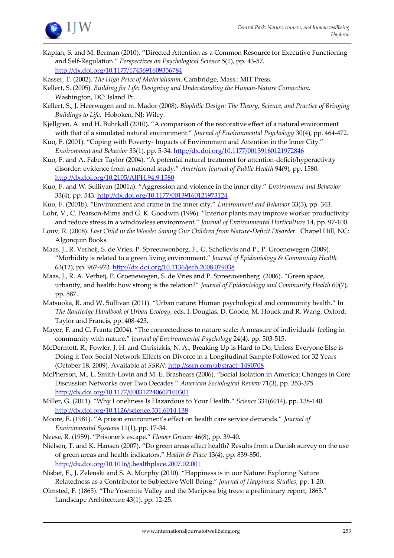

Kaplan, S. and M. Berman (2010). 'Directed Attention as a Common Resource for Executive Functioning and Self-Regulation.' *Perspectives on Psychological Science* 5(1), pp. 43-57. <http://dx.doi.org/10.1177/1745691609356784>

Kasser, T. (2002). *The High Price of Materialismm*. Cambridge, Mass.: MIT Press.

- Kellert, S. (2005). *Building for Life: Designing and Understanding the Human-Nature Connection*. Washington, DC: Island Pr.
- Kellert, S., J. Heerwagen and m. Mador (2008). *Biophilic Design: The Theory, Science, and Practice of Bringing Buildings to Life*. Hoboken, NJ: Wiley.
- Kjellgren, A. and H. Buhrkall (2010). 'A comparison of the restorative effect of a natural environment with that of a simulated natural environment.' *Journal of Environmental Psychology* 30(4), pp. 464-472.
- Kuo, F. (2001). 'Coping with Poverty- Impacts of Environment and Attention in the Inner City.' *Environment and Behavior* 33(1), pp. 5-34.<http://dx.doi.org/10.1177/00139160121972846>
- Kuo, F. and A. Faber Taylor (2004). 'A potential natural treatment for attention-deficit/hyperactivity disorder: evidence from a national study.' *American Journal of Public Health* 94(9), pp. 1580. <http://dx.doi.org/10.2105/AJPH.94.9.1580>
- Kuo, F. and W. Sullivan (2001a). 'Aggression and violence in the inner city.' *Environment and Behavior* 33(4), pp. 543.<http://dx.doi.org/10.1177/00139160121973124>
- Kuo, F. (2001b). 'Environment and crime in the inner city.' *Environment and Behavior* 33(3), pp. 343.
- Lohr, V., C. Pearson-Mims and G. K. Goodwin (1996). 'Interior plants may improve worker productivity and reduce stress in a windowless environment.' *Journal of Environmental Horticulture* 14, pp. 97-100.
- Louv, R. (2008). *Last Child in the Woods: Saving Our Children from Nature-Deficit Disorder*. Chapel Hill, NC: Algonquin Books.
- Maas, J., R. Verheij, S. de Vries, P. Spreeuwenberg, F., G. Schellevis and P., P. Groenewegen (2009). 'Morbidity is related to a green living environment.' *Journal of Epidemiology & Community Health* 63(12), pp. 967-973.<http://dx.doi.org/10.1136/jech.2008.079038>
- Maas, J., R. A. Verheij, P. Groenewegen, S. de Vries and P. Spreeuwenberg (2006). 'Green space, urbanity, and health: how strong is the relation?' *Journal of Epidemiology and Community Health* 60(7), pp. 587.
- Matsuoka, R. and W. Sullivan (2011). 'Urban nature: Human psychological and community health.' In *The Routledge Handbook of Urban Ecology*, eds. I. Douglas, D. Goode, M. Houck and R. Wang. Oxford: Taylor and Francis, pp. 408-423.
- Mayer, F. and C. Frantz (2004). 'The connectedness to nature scale: A measure of individuals' feeling in community with nature.' *Journal of Environmental Psychology* 24(4), pp. 503-515.
- McDermott, R., Fowler, J. H. and Christakis, N. A., Breaking Up is Hard to Do, Unless Everyone Else is Doing it Too: Social Network Effects on Divorce in a Longitudinal Sample Followed for 32 Years (October 18, 2009). Available at *SSRN*:<http://ssrn.com/abstract=1490708>
- McPherson, M., L. Smith-Lovin and M. E. Brashears (2006). 'Social Isolation in America: Changes in Core Discussion Networks over Two Decades.' *American Sociological Review* 71(3), pp. 353-375. <http://dx.doi.org/10.1177/000312240607100301>
- Miller, G. (2011). 'Why Loneliness Is Hazardous to Your Health.' *Science* 331(6014), pp. 138-140. <http://dx.doi.org/10.1126/science.331.6014.138>
- Moore, E. (1981). 'A prison environment's effect on health care service demands.' *Journal of Environmental Systems* 11(1), pp. 17-34.
- Neese, R. (1959). 'Prisoner's escape.' *Flower Grower* 46(8), pp. 39-40.
- Nielsen, T. and K. Hansen (2007). 'Do green areas affect health? Results from a Danish survey on the use of green areas and health indicators.' *Health & Place* 13(4), pp. 839-850. <http://dx.doi.org/10.1016/j.healthplace.2007.02.001>
- Nisbet, E., J. Zelenski and S. A. Murphy (2010). 'Happiness is in our Nature: Exploring Nature Relatedness as a Contributor to Subjective Well-Being.' *Journal of Happiness Studies*, pp. 1-20.
- Olmsted, F. (1865). 'The Yosemite Valley and the Mariposa big trees: a preliminary report, 1865.' Landscape Architecture 43(1), pp. 12-25.